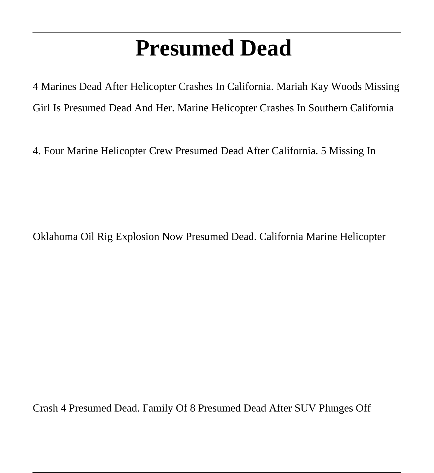# **Presumed Dead**

4 Marines Dead After Helicopter Crashes In California. Mariah Kay Woods Missing Girl Is Presumed Dead And Her. Marine Helicopter Crashes In Southern California

4. Four Marine Helicopter Crew Presumed Dead After California. 5 Missing In

Oklahoma Oil Rig Explosion Now Presumed Dead. California Marine Helicopter

Crash 4 Presumed Dead. Family Of 8 Presumed Dead After SUV Plunges Off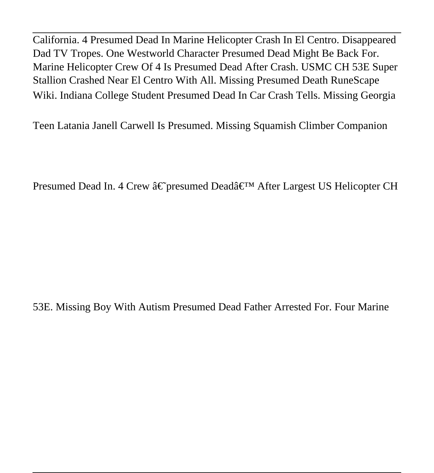California. 4 Presumed Dead In Marine Helicopter Crash In El Centro. Disappeared Dad TV Tropes. One Westworld Character Presumed Dead Might Be Back For. Marine Helicopter Crew Of 4 Is Presumed Dead After Crash. USMC CH 53E Super Stallion Crashed Near El Centro With All. Missing Presumed Death RuneScape Wiki. Indiana College Student Presumed Dead In Car Crash Tells. Missing Georgia

Teen Latania Janell Carwell Is Presumed. Missing Squamish Climber Companion

Presumed Dead In. 4 Crew †presumed Deadâ€<sup>™</sup> After Largest US Helicopter CH

53E. Missing Boy With Autism Presumed Dead Father Arrested For. Four Marine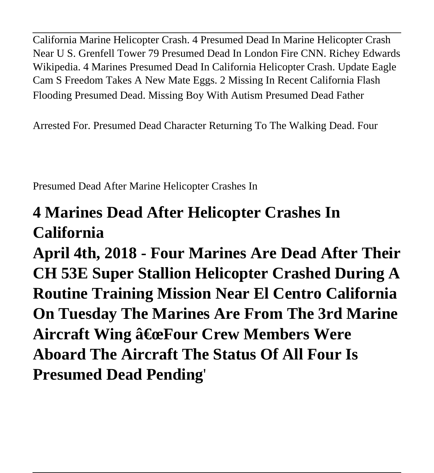California Marine Helicopter Crash. 4 Presumed Dead In Marine Helicopter Crash Near U S. Grenfell Tower 79 Presumed Dead In London Fire CNN. Richey Edwards Wikipedia. 4 Marines Presumed Dead In California Helicopter Crash. Update Eagle Cam S Freedom Takes A New Mate Eggs. 2 Missing In Recent California Flash Flooding Presumed Dead. Missing Boy With Autism Presumed Dead Father

Arrested For. Presumed Dead Character Returning To The Walking Dead. Four

Presumed Dead After Marine Helicopter Crashes In

#### **4 Marines Dead After Helicopter Crashes In California**

**April 4th, 2018 - Four Marines Are Dead After Their CH 53E Super Stallion Helicopter Crashed During A Routine Training Mission Near El Centro California On Tuesday The Marines Are From The 3rd Marine Aircraft Wing "Four Crew Members Were Aboard The Aircraft The Status Of All Four Is Presumed Dead Pending**'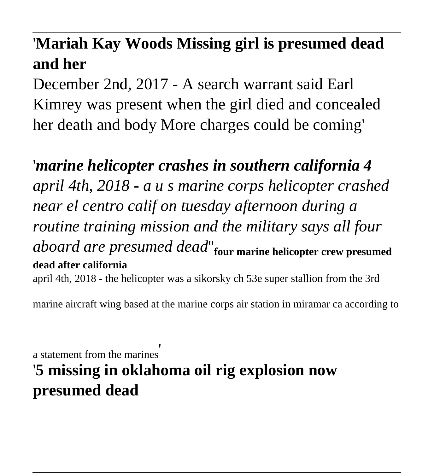# '**Mariah Kay Woods Missing girl is presumed dead and her**

December 2nd, 2017 - A search warrant said Earl Kimrey was present when the girl died and concealed her death and body More charges could be coming'

'*marine helicopter crashes in southern california 4 april 4th, 2018 - a u s marine corps helicopter crashed near el centro calif on tuesday afternoon during a routine training mission and the military says all four aboard are presumed dead*''**four marine helicopter crew presumed dead after california** april 4th, 2018 - the helicopter was a sikorsky ch 53e super stallion from the 3rd

marine aircraft wing based at the marine corps air station in miramar ca according to

a statement from the marines' '**5 missing in oklahoma oil rig explosion now presumed dead**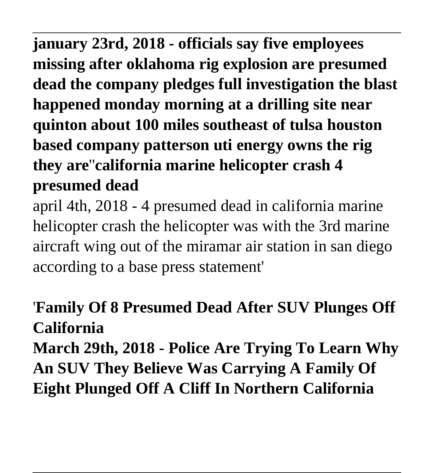**january 23rd, 2018 - officials say five employees missing after oklahoma rig explosion are presumed dead the company pledges full investigation the blast happened monday morning at a drilling site near quinton about 100 miles southeast of tulsa houston based company patterson uti energy owns the rig they are**''**california marine helicopter crash 4 presumed dead**

april 4th, 2018 - 4 presumed dead in california marine helicopter crash the helicopter was with the 3rd marine aircraft wing out of the miramar air station in san diego according to a base press statement'

#### '**Family Of 8 Presumed Dead After SUV Plunges Off California**

**March 29th, 2018 - Police Are Trying To Learn Why An SUV They Believe Was Carrying A Family Of Eight Plunged Off A Cliff In Northern California**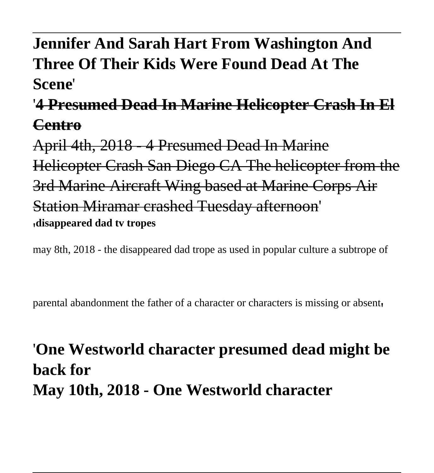### **Jennifer And Sarah Hart From Washington And Three Of Their Kids Were Found Dead At The Scene**'

#### '**4 Presumed Dead In Marine Helicopter Crash In El Centro**

April 4th, 2018 - 4 Presumed Dead In Marine Helicopter Crash San Diego CA The helicopter from the 3rd Marine Aircraft Wing based at Marine Corps Air Station Miramar crashed Tuesday afternoon' '**disappeared dad tv tropes**

may 8th, 2018 - the disappeared dad trope as used in popular culture a subtrope of

parental abandonment the father of a character or characters is missing or absent,

### '**One Westworld character presumed dead might be back for May 10th, 2018 - One Westworld character**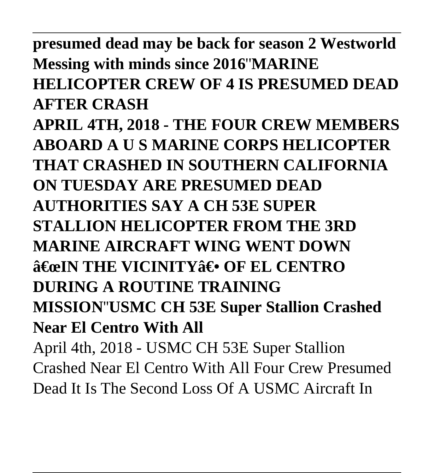**presumed dead may be back for season 2 Westworld Messing with minds since 2016**''**MARINE HELICOPTER CREW OF 4 IS PRESUMED DEAD AFTER CRASH APRIL 4TH, 2018 - THE FOUR CREW MEMBERS ABOARD A U S MARINE CORPS HELICOPTER THAT CRASHED IN SOUTHERN CALIFORNIA ON TUESDAY ARE PRESUMED DEAD AUTHORITIES SAY A CH 53E SUPER STALLION HELICOPTER FROM THE 3RD MARINE AIRCRAFT WING WENT DOWN** *"IN THE VICINITY― OF EL CENTRO* **DURING A ROUTINE TRAINING MISSION**''**USMC CH 53E Super Stallion Crashed Near El Centro With All** April 4th, 2018 - USMC CH 53E Super Stallion Crashed Near El Centro With All Four Crew Presumed Dead It Is The Second Loss Of A USMC Aircraft In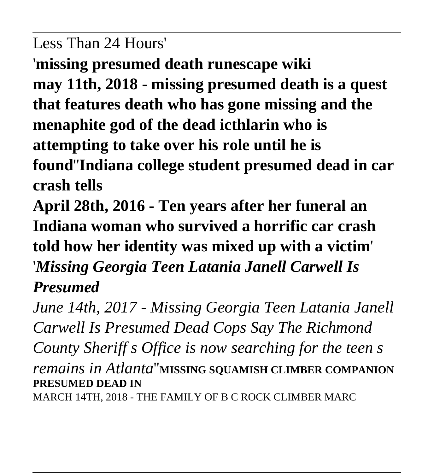Less Than 24 Hours'

'**missing presumed death runescape wiki may 11th, 2018 - missing presumed death is a quest that features death who has gone missing and the menaphite god of the dead icthlarin who is attempting to take over his role until he is found**''**Indiana college student presumed dead in car crash tells**

**April 28th, 2016 - Ten years after her funeral an Indiana woman who survived a horrific car crash told how her identity was mixed up with a victim**' '*Missing Georgia Teen Latania Janell Carwell Is Presumed*

*June 14th, 2017 - Missing Georgia Teen Latania Janell Carwell Is Presumed Dead Cops Say The Richmond County Sheriff s Office is now searching for the teen s remains in Atlanta*''**MISSING SQUAMISH CLIMBER COMPANION PRESUMED DEAD IN**

MARCH 14TH, 2018 - THE FAMILY OF B C ROCK CLIMBER MARC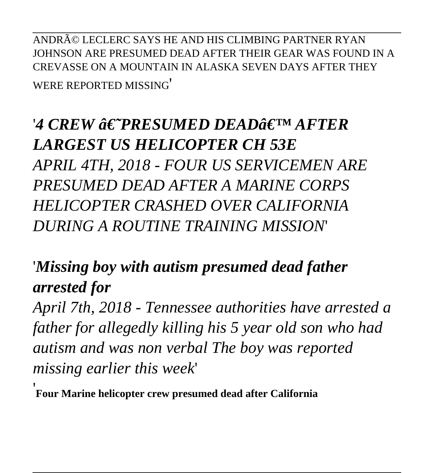ANDRé LECLERC SAYS HE AND HIS CLIMBING PARTNER RYAN JOHNSON ARE PRESUMED DEAD AFTER THEIR GEAR WAS FOUND IN A CREVASSE ON A MOUNTAIN IN ALASKA SEVEN DAYS AFTER THEY WERE REPORTED MISSING'

# '*4 CREW & FPRESUMED DEAD& EIM AFTER LARGEST US HELICOPTER CH 53E APRIL 4TH, 2018 - FOUR US SERVICEMEN ARE PRESUMED DEAD AFTER A MARINE CORPS HELICOPTER CRASHED OVER CALIFORNIA DURING A ROUTINE TRAINING MISSION*'

#### '*Missing boy with autism presumed dead father arrested for*

*April 7th, 2018 - Tennessee authorities have arrested a father for allegedly killing his 5 year old son who had autism and was non verbal The boy was reported missing earlier this week*'

'**Four Marine helicopter crew presumed dead after California**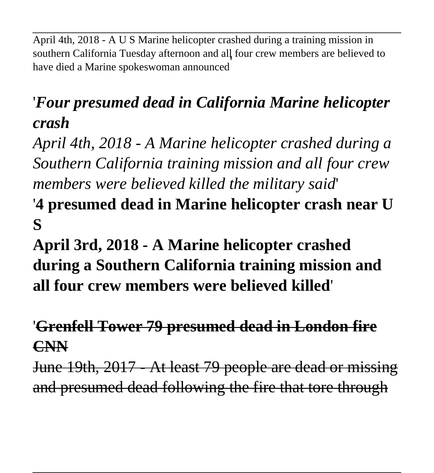April 4th, 2018 - A U S Marine helicopter crashed during a training mission in southern California Tuesday afternoon and all four crew members are believed to have died a Marine spokeswoman announced'

### '*Four presumed dead in California Marine helicopter crash*

*April 4th, 2018 - A Marine helicopter crashed during a Southern California training mission and all four crew members were believed killed the military said*'

#### '**4 presumed dead in Marine helicopter crash near U S**

**April 3rd, 2018 - A Marine helicopter crashed during a Southern California training mission and all four crew members were believed killed**'

#### '**Grenfell Tower 79 presumed dead in London fire CNN**

June 19th, 2017 - At least 79 people are dead or missing and presumed dead following the fire that tore through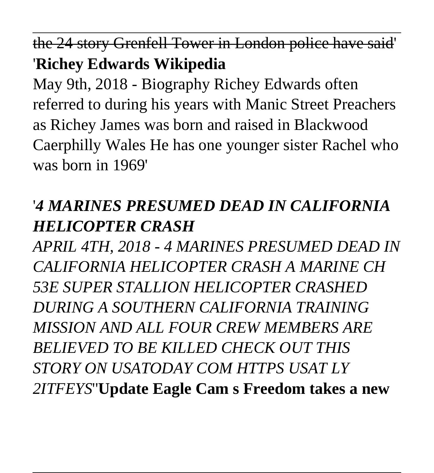the 24 story Grenfell Tower in London police have said' '**Richey Edwards Wikipedia**

May 9th, 2018 - Biography Richey Edwards often referred to during his years with Manic Street Preachers as Richey James was born and raised in Blackwood Caerphilly Wales He has one younger sister Rachel who was born in 1969'

#### '*4 MARINES PRESUMED DEAD IN CALIFORNIA HELICOPTER CRASH*

*APRIL 4TH, 2018 - 4 MARINES PRESUMED DEAD IN CALIFORNIA HELICOPTER CRASH A MARINE CH 53E SUPER STALLION HELICOPTER CRASHED DURING A SOUTHERN CALIFORNIA TRAINING MISSION AND ALL FOUR CREW MEMBERS ARE BELIEVED TO BE KILLED CHECK OUT THIS STORY ON USATODAY COM HTTPS USAT LY 2ITFEYS*''**Update Eagle Cam s Freedom takes a new**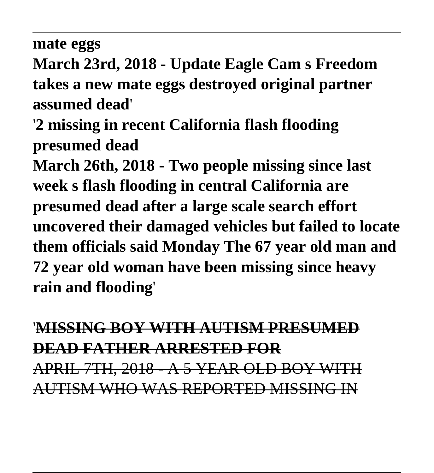**mate eggs**

**March 23rd, 2018 - Update Eagle Cam s Freedom takes a new mate eggs destroyed original partner assumed dead**'

'**2 missing in recent California flash flooding presumed dead**

**March 26th, 2018 - Two people missing since last week s flash flooding in central California are presumed dead after a large scale search effort uncovered their damaged vehicles but failed to locate them officials said Monday The 67 year old man and 72 year old woman have been missing since heavy rain and flooding**'

#### '**MISSING BOY WITH AUTISM PRESUMED DEAD FATHER ARRESTED FOR** APRIL 7TH, 2018 - A 5 YEAR OLD BOY WITH AUTISM WHO WAS REPORTED MISSING IN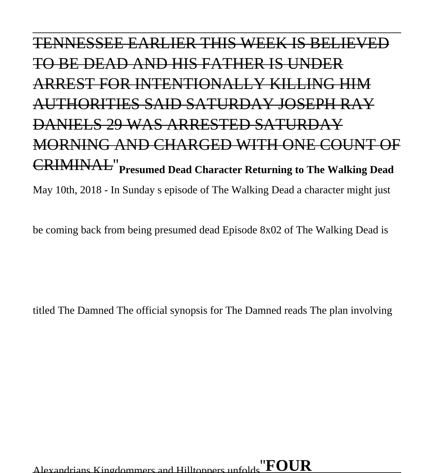TENNESSEE EARLIER THIS WEEK IS BELIEVED TO BE DEAD AND HIS FATHER IS UNDER ARREST FOR INTENTIONALLY KILLING HIM AUTHORITIES SAID SATURDAY JOSEPH RAY DANIELS 29 WAS ARRESTED SATURDAY MORNING AND CHARGED WITH ONE COUNT OF CRIMINAL''**Presumed Dead Character Returning to The Walking Dead** May 10th, 2018 - In Sunday s episode of The Walking Dead a character might just

be coming back from being presumed dead Episode 8x02 of The Walking Dead is

titled The Damned The official synopsis for The Damned reads The plan involving